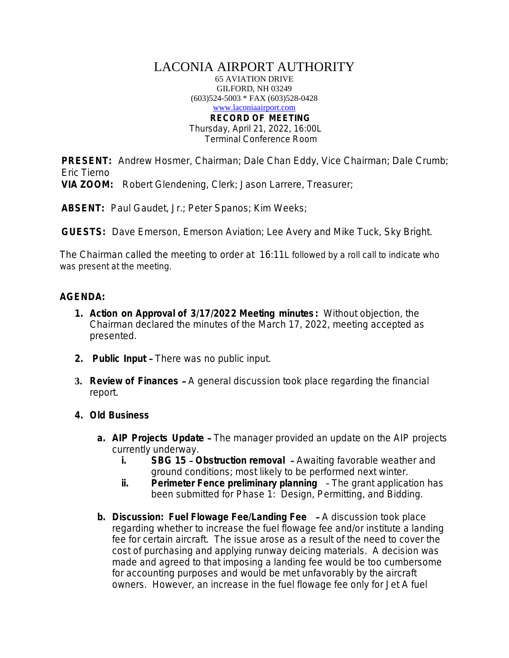## LACONIA AIRPORT AUTHORITY

65 AVIATION DRIVE GILFORD, NH 03249 (603)524-5003 \* FAX (603)528-0428 [www.laconiaairport.com](http://www.laconiaairport.com/) **RECORD OF MEETING** Thursday, April 21, 2022, 16:00L

Terminal Conference Room

**PRESENT:** Andrew Hosmer, Chairman; Dale Chan Eddy, Vice Chairman; Dale Crumb; Eric Tierno

**VIA ZOOM:** Robert Glendening, Clerk; Jason Larrere, Treasurer;

**ABSENT:** Paul Gaudet, Jr.; Peter Spanos; Kim Weeks;

**GUESTS:** Dave Emerson, Emerson Aviation; Lee Avery and Mike Tuck, Sky Bright.

The Chairman called the meeting to order at 16:11L followed by a roll call to indicate who was present at the meeting.

## **AGENDA:**

- **1. Action on Approval of 3/17/2022 Meeting minutes :** Without objection, the Chairman declared the minutes of the March 17, 2022, meeting accepted as presented.
- **2. Public Input** There was no public input.
- **3. Review of Finances** A general discussion took place regarding the financial report.
- **4. Old Business**
	- **a. AIP Projects Update** The manager provided an update on the AIP projects currently underway.
		- **i. SBG 15 Obstruction removal** Awaiting favorable weather and ground conditions; most likely to be performed next winter.
		- **ii. Perimeter Fence preliminary planning** The grant application has been submitted for Phase 1: Design, Permitting, and Bidding.
	- **b. Discussion: Fuel Flowage Fee/Landing Fee** A discussion took place regarding whether to increase the fuel flowage fee and/or institute a landing fee for certain aircraft. The issue arose as a result of the need to cover the cost of purchasing and applying runway deicing materials. A decision was made and agreed to that imposing a landing fee would be too cumbersome for accounting purposes and would be met unfavorably by the aircraft owners. However, an increase in the fuel flowage fee *only* for Jet A fuel